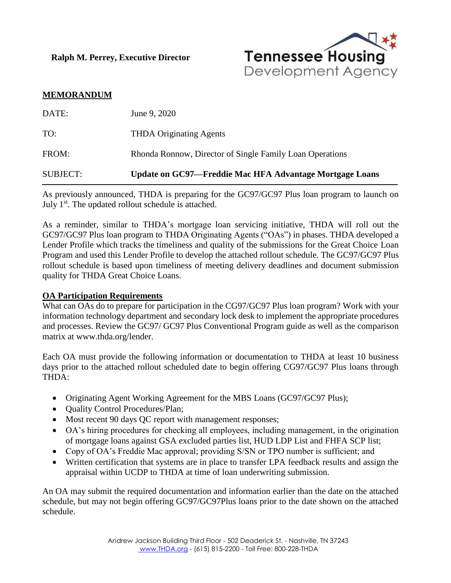**Ralph M. Perrey, Executive Director**



## **MEMORANDUM**

| SUBJECT: | Update on GC97—Freddie Mac HFA Advantage Mortgage Loans  |
|----------|----------------------------------------------------------|
| FROM:    | Rhonda Ronnow, Director of Single Family Loan Operations |
| TO:      | <b>THDA Originating Agents</b>                           |
| DATE:    | June 9, 2020                                             |

As previously announced, THDA is preparing for the GC97/GC97 Plus loan program to launch on July 1<sup>st</sup>. The updated rollout schedule is attached.

As a reminder, similar to THDA's mortgage loan servicing initiative, THDA will roll out the GC97/GC97 Plus loan program to THDA Originating Agents ("OAs") in phases. THDA developed a Lender Profile which tracks the timeliness and quality of the submissions for the Great Choice Loan Program and used this Lender Profile to develop the attached rollout schedule. The GC97/GC97 Plus rollout schedule is based upon timeliness of meeting delivery deadlines and document submission quality for THDA Great Choice Loans.

#### **OA Participation Requirements**

What can OAs do to prepare for participation in the CG97/GC97 Plus loan program? Work with your information technology department and secondary lock desk to implement the appropriate procedures and processes. Review the GC97/ GC97 Plus Conventional Program guide as well as the comparison matrix at www.thda.org/lender.

Each OA must provide the following information or documentation to THDA at least 10 business days prior to the attached rollout scheduled date to begin offering CG97/GC97 Plus loans through THDA:

- Originating Agent Working Agreement for the MBS Loans (GC97/GC97 Plus);
- Quality Control Procedures/Plan;
- Most recent 90 days QC report with management responses;
- OA's hiring procedures for checking all employees, including management, in the origination of mortgage loans against GSA excluded parties list, HUD LDP List and FHFA SCP list;
- Copy of OA's Freddie Mac approval; providing S/SN or TPO number is sufficient; and
- Written certification that systems are in place to transfer LPA feedback results and assign the appraisal within UCDP to THDA at time of loan underwriting submission.

An OA may submit the required documentation and information earlier than the date on the attached schedule, but may not begin offering GC97/GC97Plus loans prior to the date shown on the attached schedule.